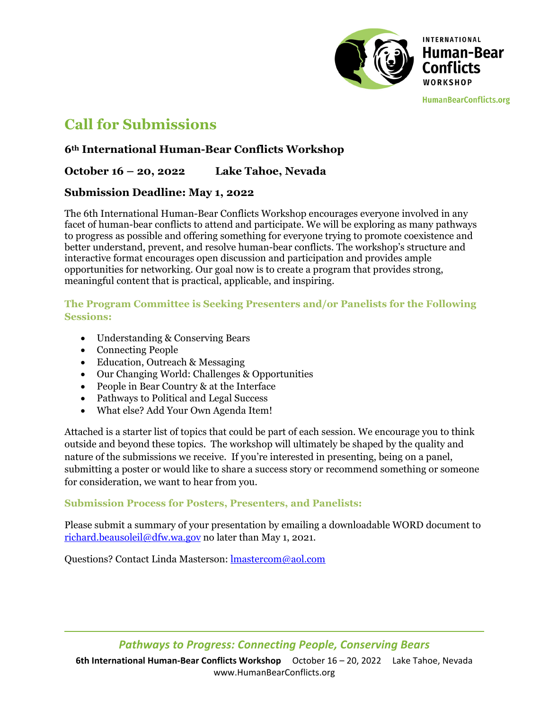

**HumanBearConflicts.org** 

# **Call for Submissions**

# **6th International Human-Bear Conflicts Workshop**

## **October 16 – 20, 2022 Lake Tahoe, Nevada**

## **Submission Deadline: May 1, 2022**

The 6th International Human-Bear Conflicts Workshop encourages everyone involved in any facet of human-bear conflicts to attend and participate. We will be exploring as many pathways to progress as possible and offering something for everyone trying to promote coexistence and better understand, prevent, and resolve human-bear conflicts. The workshop's structure and interactive format encourages open discussion and participation and provides ample opportunities for networking. Our goal now is to create a program that provides strong, meaningful content that is practical, applicable, and inspiring.

#### **The Program Committee is Seeking Presenters and/or Panelists for the Following Sessions:**

- Understanding & Conserving Bears
- Connecting People
- Education, Outreach & Messaging
- Our Changing World: Challenges & Opportunities
- People in Bear Country & at the Interface
- Pathways to Political and Legal Success
- What else? Add Your Own Agenda Item!

Attached is a starter list of topics that could be part of each session. We encourage you to think outside and beyond these topics. The workshop will ultimately be shaped by the quality and nature of the submissions we receive. If you're interested in presenting, being on a panel, submitting a poster or would like to share a success story or recommend something or someone for consideration, we want to hear from you.

#### **Submission Process for Posters, Presenters, and Panelists:**

Please submit a summary of your presentation by emailing a downloadable WORD document to richard.beausoleil@dfw.wa.gov no later than May 1, 2021.

Questions? Contact Linda Masterson: lmastercom@aol.com

# *Pathways to Progress: Connecting People, Conserving Bears*

**6th International Human‐Bear Conflicts Workshop**  October 16 – 20, 2022 Lake Tahoe, Nevada www.HumanBearConflicts.org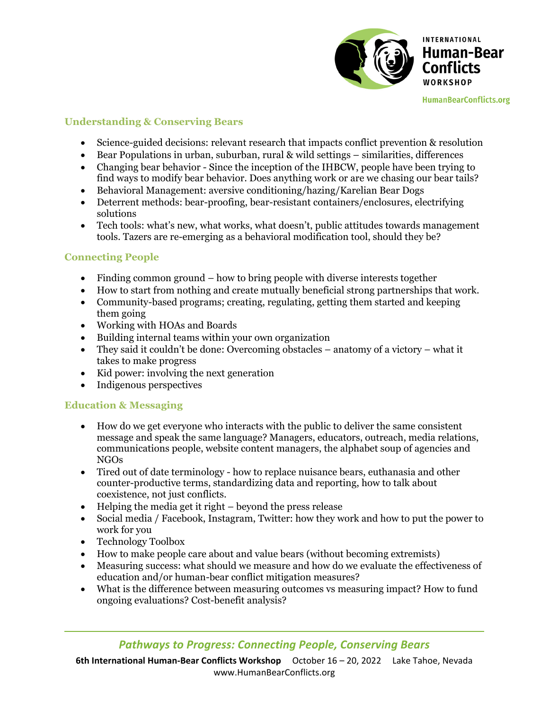

**HumanBearConflicts.org** 

#### **Understanding & Conserving Bears**

- Science-guided decisions: relevant research that impacts conflict prevention & resolution
- Bear Populations in urban, suburban, rural & wild settings similarities, differences
- Changing bear behavior Since the inception of the IHBCW, people have been trying to find ways to modify bear behavior. Does anything work or are we chasing our bear tails?
- Behavioral Management: aversive conditioning/hazing/Karelian Bear Dogs
- Deterrent methods: bear-proofing, bear-resistant containers/enclosures, electrifying solutions
- Tech tools: what's new, what works, what doesn't, public attitudes towards management tools. Tazers are re-emerging as a behavioral modification tool, should they be?

#### **Connecting People**

- Finding common ground how to bring people with diverse interests together
- How to start from nothing and create mutually beneficial strong partnerships that work.
- Community-based programs; creating, regulating, getting them started and keeping them going
- Working with HOAs and Boards
- Building internal teams within your own organization
- They said it couldn't be done: Overcoming obstacles anatomy of a victory what it takes to make progress
- Kid power: involving the next generation
- Indigenous perspectives

#### **Education & Messaging**

- How do we get everyone who interacts with the public to deliver the same consistent message and speak the same language? Managers, educators, outreach, media relations, communications people, website content managers, the alphabet soup of agencies and NGOs
- Tired out of date terminology how to replace nuisance bears, euthanasia and other counter-productive terms, standardizing data and reporting, how to talk about coexistence, not just conflicts.
- $\bullet$  Helping the media get it right beyond the press release
- Social media / Facebook, Instagram, Twitter: how they work and how to put the power to work for you
- Technology Toolbox
- How to make people care about and value bears (without becoming extremists)
- Measuring success: what should we measure and how do we evaluate the effectiveness of education and/or human-bear conflict mitigation measures?
- What is the difference between measuring outcomes vs measuring impact? How to fund ongoing evaluations? Cost-benefit analysis?

**6th International Human‐Bear Conflicts Workshop**  October 16 – 20, 2022 Lake Tahoe, Nevada www.HumanBearConflicts.org